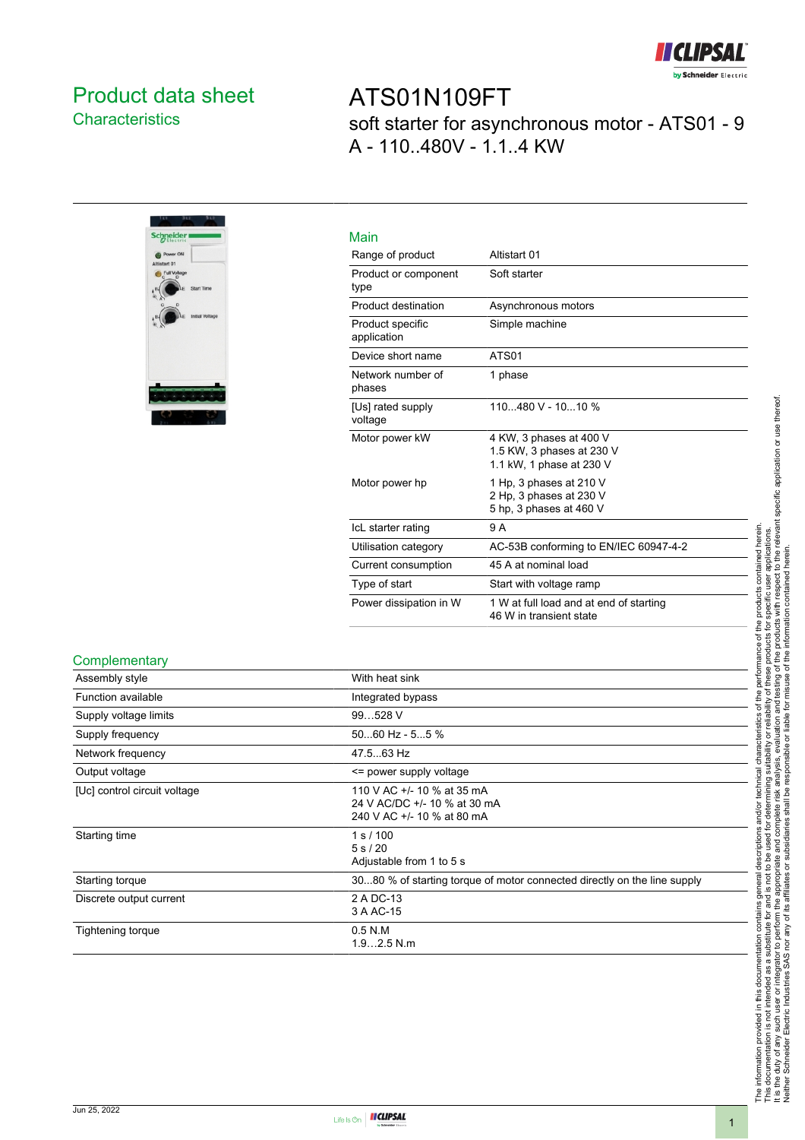

### <span id="page-0-0"></span>Product data sheet **Characteristics**



## ATS01N109FT soft starter for asynchronous motor - ATS01 - 9 A - 110..480V - 1.1..4 KW

| Main                            |                                                                                  |
|---------------------------------|----------------------------------------------------------------------------------|
| Range of product                | Altistart 01                                                                     |
| Product or component<br>type    | Soft starter                                                                     |
| Product destination             | Asynchronous motors                                                              |
| Product specific<br>application | Simple machine                                                                   |
| Device short name               | ATS01                                                                            |
| Network number of<br>phases     | 1 phase                                                                          |
| [Us] rated supply<br>voltage    | 110480 V - 1010 %                                                                |
| Motor power kW                  | 4 KW, 3 phases at 400 V<br>1.5 KW, 3 phases at 230 V<br>1.1 kW, 1 phase at 230 V |
| Motor power hp                  | 1 Hp, 3 phases at 210 V<br>2 Hp. 3 phases at 230 V<br>5 hp, 3 phases at 460 V    |
| IcL starter rating              | 9 A                                                                              |
| Utilisation category            | AC-53B conforming to EN/IEC 60947-4-2                                            |
| Current consumption             | 45 A at nominal load                                                             |
| Type of start                   | Start with voltage ramp                                                          |
| Power dissipation in W          | 1 W at full load and at end of starting<br>46 W in transient state               |

#### **Complementary**

| Assembly style               | With heat sink                                                                           |
|------------------------------|------------------------------------------------------------------------------------------|
| Function available           | Integrated bypass                                                                        |
| Supply voltage limits        | 99528 V                                                                                  |
| Supply frequency             | $5060$ Hz - $55$ %                                                                       |
| Network frequency            | 47.563 Hz                                                                                |
| Output voltage               | <= power supply voltage                                                                  |
| [Uc] control circuit voltage | 110 V AC +/- 10 % at 35 mA<br>24 V AC/DC +/- 10 % at 30 mA<br>240 V AC +/- 10 % at 80 mA |
| Starting time                | 1 s / 100<br>5 s / 20<br>Adjustable from 1 to 5 s                                        |
| Starting torque              | 3080 % of starting torque of motor connected directly on the line supply                 |
| Discrete output current      | 2 A DC-13<br>3 A AC-15                                                                   |
| Tightening torque            | $0.5$ N.M<br>$1.92.5$ N.m.                                                               |
|                              |                                                                                          |

The information provided in this documentation contains general descriptions and/or technical characteristics of the performance of the products contained herein.<br>This documentation is not intended as a substitute for and It is the duty of any such user or integrator to perform the appropriate and complete risk analysis, evaluation and testing of the products with respect to the relevant specific application or use thereof. The information provided in this documentation contains general descriptions and/or technical characteristics of the performance of the products contained herein. This documentation is not intended as a substitute for and is not to be used for determining suitability or reliability of these products for specific user applications. Neither Schneider Electric Industries SAS nor any of its affiliates or subsidiaries shall be responsible or liable for misuse of the information contained herein.

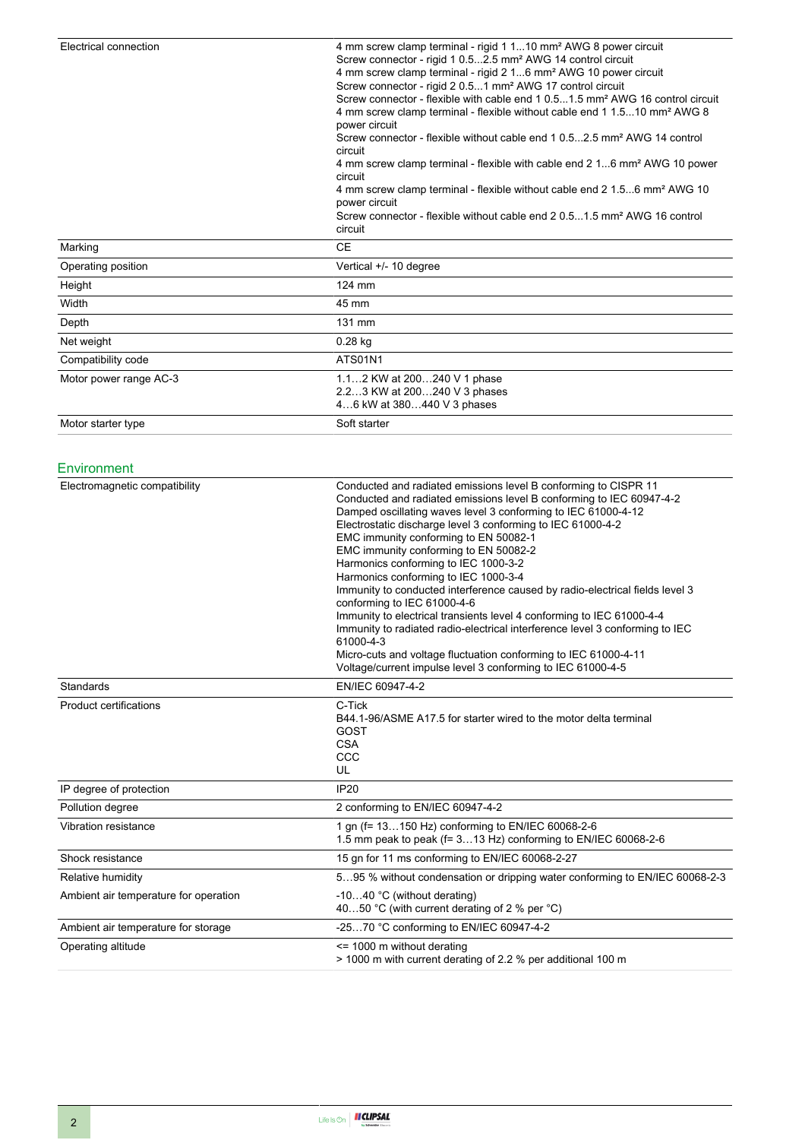| Electrical connection  | 4 mm screw clamp terminal - rigid 1 110 mm <sup>2</sup> AWG 8 power circuit<br>Screw connector - rigid 1 0.52.5 mm <sup>2</sup> AWG 14 control circuit<br>4 mm screw clamp terminal - rigid 2 16 mm <sup>2</sup> AWG 10 power circuit<br>Screw connector - rigid 2 0.51 mm <sup>2</sup> AWG 17 control circuit<br>Screw connector - flexible with cable end 1 0.51.5 mm <sup>2</sup> AWG 16 control circuit<br>4 mm screw clamp terminal - flexible without cable end 1 1.510 mm <sup>2</sup> AWG 8<br>power circuit<br>Screw connector - flexible without cable end 1 0.52.5 mm <sup>2</sup> AWG 14 control<br>circuit<br>4 mm screw clamp terminal - flexible with cable end 2 16 mm <sup>2</sup> AWG 10 power<br>circuit<br>4 mm screw clamp terminal - flexible without cable end 2 1.56 mm <sup>2</sup> AWG 10<br>power circuit<br>Screw connector - flexible without cable end 2 0.51.5 mm <sup>2</sup> AWG 16 control<br>circuit |
|------------------------|-----------------------------------------------------------------------------------------------------------------------------------------------------------------------------------------------------------------------------------------------------------------------------------------------------------------------------------------------------------------------------------------------------------------------------------------------------------------------------------------------------------------------------------------------------------------------------------------------------------------------------------------------------------------------------------------------------------------------------------------------------------------------------------------------------------------------------------------------------------------------------------------------------------------------------------------|
| Marking                | <b>CE</b>                                                                                                                                                                                                                                                                                                                                                                                                                                                                                                                                                                                                                                                                                                                                                                                                                                                                                                                               |
| Operating position     | Vertical +/- 10 degree                                                                                                                                                                                                                                                                                                                                                                                                                                                                                                                                                                                                                                                                                                                                                                                                                                                                                                                  |
| Height                 | 124 mm                                                                                                                                                                                                                                                                                                                                                                                                                                                                                                                                                                                                                                                                                                                                                                                                                                                                                                                                  |
| Width                  | 45 mm                                                                                                                                                                                                                                                                                                                                                                                                                                                                                                                                                                                                                                                                                                                                                                                                                                                                                                                                   |
| Depth                  | 131 mm                                                                                                                                                                                                                                                                                                                                                                                                                                                                                                                                                                                                                                                                                                                                                                                                                                                                                                                                  |
| Net weight             | $0.28$ kg                                                                                                                                                                                                                                                                                                                                                                                                                                                                                                                                                                                                                                                                                                                                                                                                                                                                                                                               |
| Compatibility code     | <b>ATS01N1</b>                                                                                                                                                                                                                                                                                                                                                                                                                                                                                                                                                                                                                                                                                                                                                                                                                                                                                                                          |
| Motor power range AC-3 | 1.12 KW at 200240 V 1 phase<br>2.23 KW at 200240 V 3 phases<br>46 kW at 380440 V 3 phases                                                                                                                                                                                                                                                                                                                                                                                                                                                                                                                                                                                                                                                                                                                                                                                                                                               |
| Motor starter type     | Soft starter                                                                                                                                                                                                                                                                                                                                                                                                                                                                                                                                                                                                                                                                                                                                                                                                                                                                                                                            |

#### Environment

| Electromagnetic compatibility         | Conducted and radiated emissions level B conforming to CISPR 11<br>Conducted and radiated emissions level B conforming to IEC 60947-4-2<br>Damped oscillating waves level 3 conforming to IEC 61000-4-12<br>Electrostatic discharge level 3 conforming to IEC 61000-4-2<br>EMC immunity conforming to EN 50082-1<br>EMC immunity conforming to EN 50082-2<br>Harmonics conforming to IEC 1000-3-2<br>Harmonics conforming to IEC 1000-3-4<br>Immunity to conducted interference caused by radio-electrical fields level 3<br>conforming to IEC 61000-4-6<br>Immunity to electrical transients level 4 conforming to IEC 61000-4-4<br>Immunity to radiated radio-electrical interference level 3 conforming to IEC<br>61000-4-3<br>Micro-cuts and voltage fluctuation conforming to IEC 61000-4-11<br>Voltage/current impulse level 3 conforming to IEC 61000-4-5 |
|---------------------------------------|------------------------------------------------------------------------------------------------------------------------------------------------------------------------------------------------------------------------------------------------------------------------------------------------------------------------------------------------------------------------------------------------------------------------------------------------------------------------------------------------------------------------------------------------------------------------------------------------------------------------------------------------------------------------------------------------------------------------------------------------------------------------------------------------------------------------------------------------------------------|
| Standards                             | EN/IEC 60947-4-2                                                                                                                                                                                                                                                                                                                                                                                                                                                                                                                                                                                                                                                                                                                                                                                                                                                 |
| Product certifications                | C-Tick<br>B44.1-96/ASME A17.5 for starter wired to the motor delta terminal<br>GOST<br><b>CSA</b><br>CCC<br>UL                                                                                                                                                                                                                                                                                                                                                                                                                                                                                                                                                                                                                                                                                                                                                   |
| IP degree of protection               | <b>IP20</b>                                                                                                                                                                                                                                                                                                                                                                                                                                                                                                                                                                                                                                                                                                                                                                                                                                                      |
| Pollution degree                      | 2 conforming to EN/IEC 60947-4-2                                                                                                                                                                                                                                                                                                                                                                                                                                                                                                                                                                                                                                                                                                                                                                                                                                 |
| Vibration resistance                  | 1 gn (f= 13150 Hz) conforming to EN/IEC 60068-2-6<br>1.5 mm peak to peak (f= 313 Hz) conforming to EN/IEC 60068-2-6                                                                                                                                                                                                                                                                                                                                                                                                                                                                                                                                                                                                                                                                                                                                              |
| Shock resistance                      | 15 gn for 11 ms conforming to EN/IEC 60068-2-27                                                                                                                                                                                                                                                                                                                                                                                                                                                                                                                                                                                                                                                                                                                                                                                                                  |
| Relative humidity                     | 595 % without condensation or dripping water conforming to EN/IEC 60068-2-3                                                                                                                                                                                                                                                                                                                                                                                                                                                                                                                                                                                                                                                                                                                                                                                      |
| Ambient air temperature for operation | -1040 °C (without derating)<br>4050 °C (with current derating of 2 % per °C)                                                                                                                                                                                                                                                                                                                                                                                                                                                                                                                                                                                                                                                                                                                                                                                     |
| Ambient air temperature for storage   | -2570 °C conforming to EN/IEC 60947-4-2                                                                                                                                                                                                                                                                                                                                                                                                                                                                                                                                                                                                                                                                                                                                                                                                                          |
| Operating altitude                    | $\le$ 1000 m without derating<br>> 1000 m with current derating of 2.2 % per additional 100 m                                                                                                                                                                                                                                                                                                                                                                                                                                                                                                                                                                                                                                                                                                                                                                    |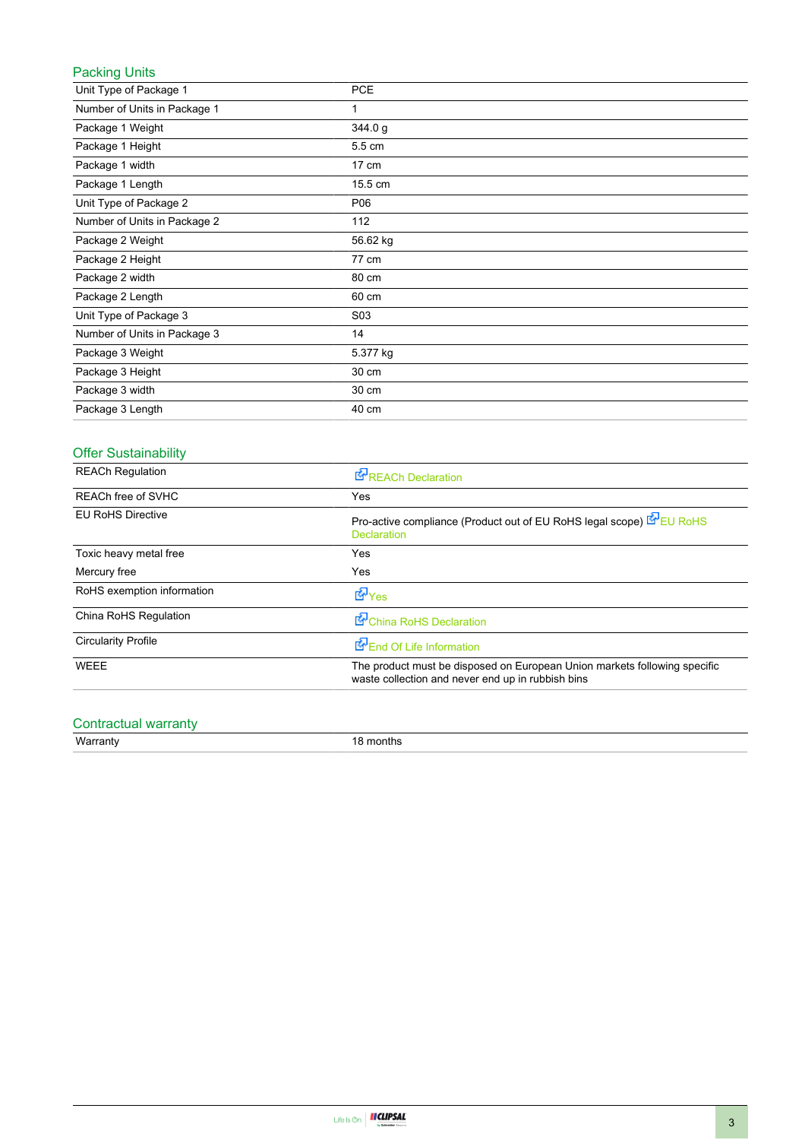### Packing Units

| Unit Type of Package 1       | <b>PCE</b>       |
|------------------------------|------------------|
| Number of Units in Package 1 | 1                |
| Package 1 Weight             | 344.0 g          |
| Package 1 Height             | 5.5 cm           |
| Package 1 width              | $17 \text{ cm}$  |
| Package 1 Length             | 15.5 cm          |
| Unit Type of Package 2       | P06              |
| Number of Units in Package 2 | 112              |
| Package 2 Weight             | 56.62 kg         |
| Package 2 Height             | 77 cm            |
| Package 2 width              | 80 cm            |
| Package 2 Length             | 60 cm            |
| Unit Type of Package 3       | S <sub>0</sub> 3 |
| Number of Units in Package 3 | 14               |
| Package 3 Weight             | 5.377 kg         |
| Package 3 Height             | 30 cm            |
| Package 3 width              | 30 cm            |
| Package 3 Length             | 40 cm            |

### Offer Sustainability

| <b>REACh Regulation</b>    | <b>REACh Declaration</b>                                                                                                       |
|----------------------------|--------------------------------------------------------------------------------------------------------------------------------|
| <b>REACh free of SVHC</b>  | Yes                                                                                                                            |
| <b>EU RoHS Directive</b>   | Pro-active compliance (Product out of EU RoHS legal scope) EU RoHS<br><b>Declaration</b>                                       |
| Toxic heavy metal free     | Yes                                                                                                                            |
| Mercury free               | Yes                                                                                                                            |
| RoHS exemption information | $E_{\text{Yes}}$                                                                                                               |
| China RoHS Regulation      | China RoHS Declaration                                                                                                         |
| <b>Circularity Profile</b> | End Of Life Information                                                                                                        |
| WEEE                       | The product must be disposed on European Union markets following specific<br>waste collection and never end up in rubbish bins |

# Contractual warranty<br>Warranty

18 months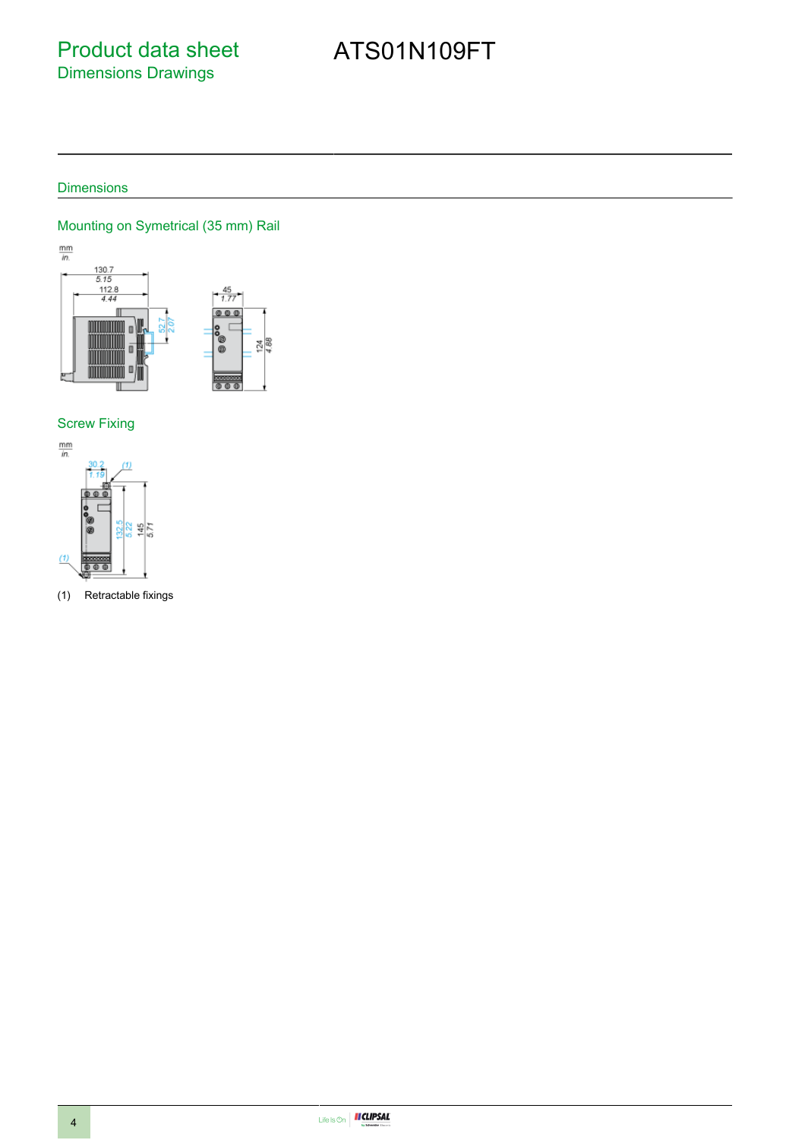### Product data sheet Dimensions Drawings

# ATS01N109FT

### Dimensions

### Mounting on Symetrical (35 mm) Rail



### Screw Fixing



(1) Retractable fixings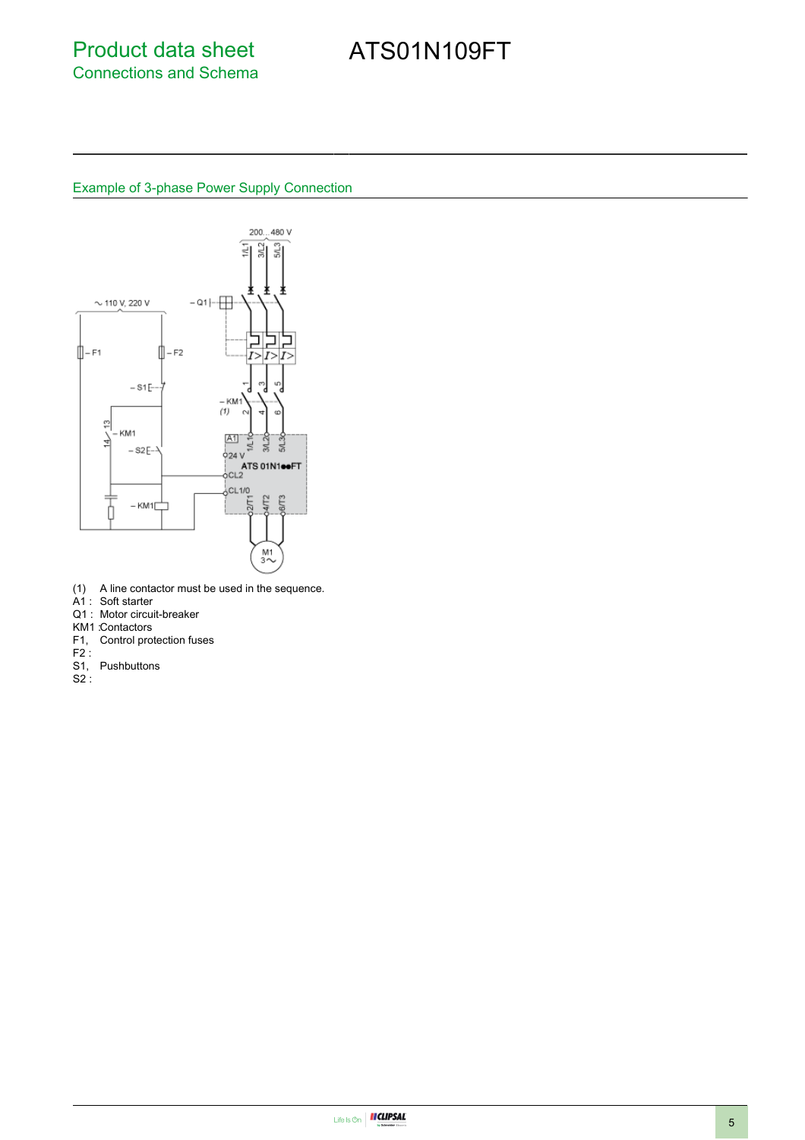# ATS01N109FT

#### Example of 3-phase Power Supply Connection



- (1) A line contactor must be used in the sequence.
- A1 : Soft starter
- Q1 : Motor circuit-breaker
- KM1 :Contactors
- F1, Control protection fuses
- $F2$ :
- S1, Pushbuttons
- S2 :